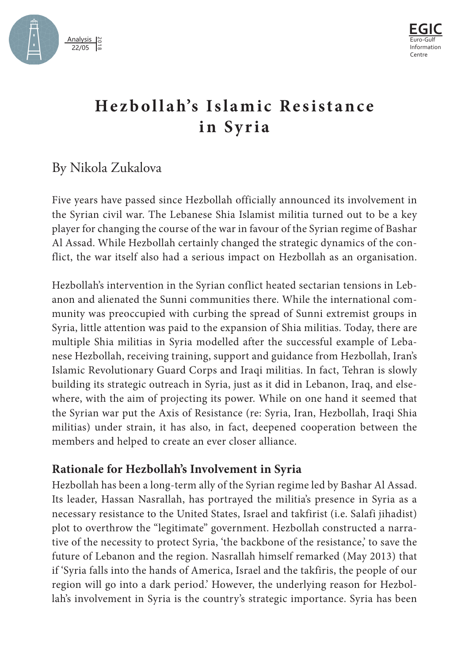



# **Hezbollah's Islamic Resistance in Syria**

# By Nikola Zukalova

Five years have passed since Hezbollah officially announced its involvement in the Syrian civil war. The Lebanese Shia Islamist militia turned out to be a key player for changing the course of the war in favour of the Syrian regime of Bashar Al Assad. While Hezbollah certainly changed the strategic dynamics of the conflict, the war itself also had a serious impact on Hezbollah as an organisation.

Hezbollah's intervention in the Syrian conflict heated sectarian tensions in Lebanon and alienated the Sunni communities there. While the international community was preoccupied with curbing the spread of Sunni extremist groups in Syria, little attention was paid to the expansion of Shia militias. Today, there are multiple Shia militias in Syria modelled after the successful example of Lebanese Hezbollah, receiving training, support and guidance from Hezbollah, Iran's Islamic Revolutionary Guard Corps and Iraqi militias. In fact, Tehran is slowly building its strategic outreach in Syria, just as it did in Lebanon, Iraq, and elsewhere, with the aim of projecting its power. While on one hand it seemed that the Syrian war put the Axis of Resistance (re: Syria, Iran, Hezbollah, Iraqi Shia militias) under strain, it has also, in fact, deepened cooperation between the members and helped to create an ever closer alliance.

# **Rationale for Hezbollah's Involvement in Syria**

Hezbollah has been a long-term ally of the Syrian regime led by Bashar Al Assad. Its leader, Hassan Nasrallah, has portrayed the militia's presence in Syria as a necessary resistance to the United States, Israel and takfirist (i.e. Salafi jihadist) plot to overthrow the "legitimate" government. Hezbollah constructed a narrative of the necessity to protect Syria, 'the backbone of the resistance,' to save the future of Lebanon and the region. Nasrallah himself remarked (May 2013) that if 'Syria falls into the hands of America, Israel and the takfiris, the people of our region will go into a dark period.' However, the underlying reason for Hezbollah's involvement in Syria is the country's strategic importance. Syria has been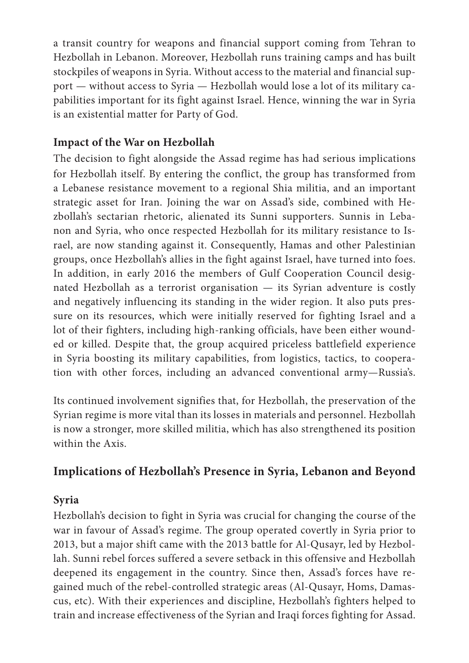a transit country for weapons and financial support coming from Tehran to Hezbollah in Lebanon. Moreover, Hezbollah runs training camps and has built stockpiles of weapons in Syria. Without access to the material and financial support — without access to Syria — Hezbollah would lose a lot of its military ca[p](http://formiche.net/2018/02/yemen-crimini-milizie-houthi/ )abilities important for its fight against Israel. Hence, winning the war in Syria is an existential matter for Party of God.

### **Impact of the War on Hezbollah**

The decision to fight alongside the Assad regime has had serious implications for Hezbollah itself. By entering the conflict, the group has transformed from a Lebanese resistance movement to a regional Shia militia, and an important strategic asset for Iran. Joining the war on Assad's side, combined with Hezbollah's sectarian rhetoric, alienated its Sunni supporters. Sunnis in Lebanon and Syria, who once respected Hezbollah for its military resistance to Israel, are now standing against it. Consequently, Hamas and other Palestinian groups, once Hezbollah's allies in the fight against Israel, have turned into foes. In addition, in early 2016 the members of Gulf Cooperation Council designated Hezbollah as a terrorist organisation — its Syrian adventure is costly and negatively influencing its standing in the wider region. It also puts pressure on its resources, which were initially reserved for fighting Israel and a lot of their fighters, including high-ranking officials, have been either wounded or killed. Despite that, the group acquired priceless battlefield experience in Syria boosting its military capabilities, from logistics, tactics, to cooperation with other forces, including an advanced conventional army—Russia's.

Its continued involvement signifies that, for Hezbollah, the preservation of the Syrian regime is more vital than its losses in materials and personnel. Hezbollah is now a stronger, more skilled militia, which has also strengthened its position within the Axis.

## **Implications of Hezbollah's Presence in Syria, Lebanon and Beyond**

#### **Syria**

Hezbollah's decision to fight in Syria was crucial for changing the course of the war in favour of Assad's regime. The group operated covertly in Syria prior to 2013, but a major shift came with the 2013 battle for Al-Qusayr, led by Hezbollah. Sunni rebel forces suffered a severe setback in this offensive and Hezbollah deepened its engagement in the country. Since then, Assad's forces have regained much of the rebel-controlled strategic areas (Al-Qusayr, Homs, Damascus, etc). With their experiences and discipline, Hezbollah's fighters helped to train and increase effectiveness of the Syrian and Iraqi forces fighting for Assad.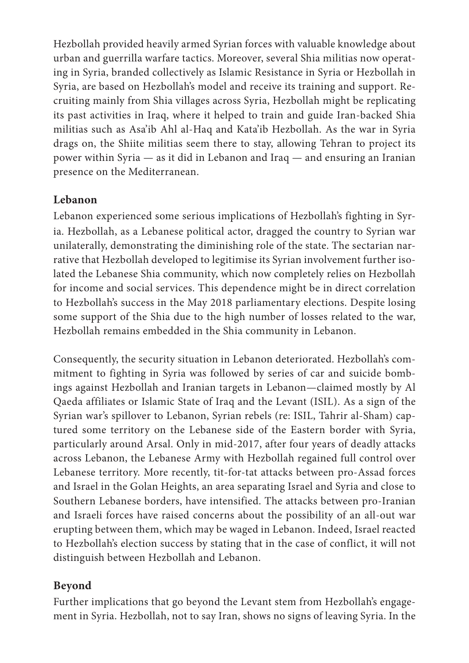Hezbollah provided heavily armed Syrian forces with valuable knowledge about urban and guerrilla warfare tactics. Moreover, several Shia militias now operating in Syria, branded collectively as Islamic Resistance in Syria or Hezbollah in Syria, are based on Hezbollah's model and receive its training and support. Recruiting mainly from Shia villages across Syria, Hezbollah might be replicating its past activities in Iraq, where it helped to train and guide Iran-backed Shia militias such as Asa'ib Ahl al-Haq and Kata'ib Hezbollah. As the war in Syria drags on, the Shiite militias seem there to stay, allowing Tehran to project its power within Syria — as it did in Lebanon and Iraq — and ensuring an Iranian presence on the Mediterranean.

#### **Lebanon**

Lebanon experienced some serious implications of Hezbollah's fighting in Syria. Hezbollah, as a Lebanese political actor, dragged the country to Syrian war unilaterally, demonstrating the diminishing role of the state. The sectarian narrative that Hezbollah developed to legitimise its Syrian involvement further isolated the Lebanese Shia community, which now completely relies on Hezbollah for income and social services. This dependence might be in direct correlation to Hezbollah's success in the May 2018 parliamentary elections. Despite losing some support of the Shia due to the high number of losses related to the war, Hezbollah remains embedded in the Shia community in Lebanon.

Consequently, the security situation in Lebanon deteriorated. Hezbollah's commitment to fighting in Syria was followed by series of car and suicide bombings against Hezbollah and Iranian targets in Lebanon—claimed mostly by Al Qaeda affiliates or Islamic State of Iraq and the Levant (ISIL). As a sign of the Syrian war's spillover to Lebanon, Syrian rebels (re: ISIL, Tahrir al-Sham) captured some territory on the Lebanese side of the Eastern border with Syria, particularly around Arsal. Only in mid-2017, after four years of deadly attacks across Lebanon, the Lebanese Army with Hezbollah regained full control over Lebanese territory. More recently, tit-for-tat attacks between pro-Assad forces and Israel in the Golan Heights, an area separating Israel and Syria and close to Southern Lebanese borders, have intensified. The attacks between pro-Iranian and Israeli forces have raised concerns about the possibility of an all-out war erupting between them, which may be waged in Lebanon. Indeed, Israel reacted to Hezbollah's election success by stating that in the case of conflict, it will not distinguish between Hezbollah and Lebanon.

#### **Beyond**

Further implications that go beyond the Levant stem from Hezbollah's engagement in Syria. Hezbollah, not to say Iran, shows no signs of leaving Syria. In the